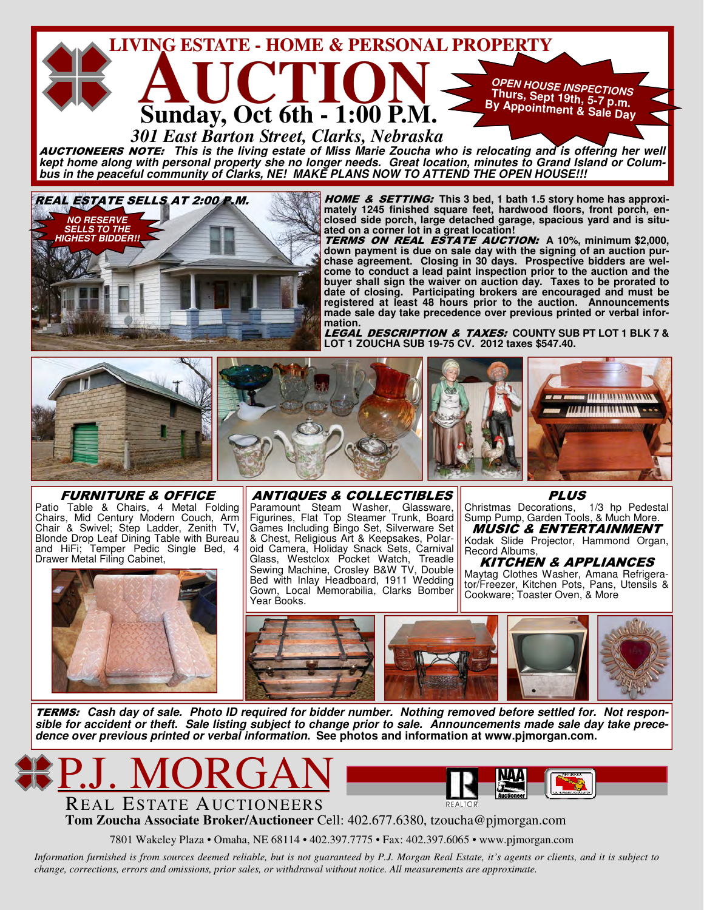

AUCTIONEERS NOTE: **This is the living estate of Miss Marie Zoucha who is relocating and is offering her well kept home along with personal property she no longer needs. Great location, minutes to Grand Island or Colum**bus in the peaceful community of Clarks, NE! MAKE PLANS NOW TO ATTEND THE OPEN HOUSE!!!



HOME & SETTING: **This 3 bed, 1 bath 1.5 story home has approximately 1245 finished square feet, hardwood floors, front porch, enclosed side porch, large detached garage, spacious yard and is situated on a corner lot in a great location!** 

TERMS ON REAL ESTATE AUCTION: **A 10%, minimum \$2,000, down payment is due on sale day with the signing of an auction purchase agreement. Closing in 30 days. Prospective bidders are welcome to conduct a lead paint inspection prior to the auction and the buyer shall sign the waiver on auction day. Taxes to be prorated to date of closing. Participating brokers are encouraged and must be registered at least 48 hours prior to the auction. Announcements made sale day take precedence over previous printed or verbal information.** 

LEGAL DESCRIPTION & TAXES: **COUNTY SUB PT LOT 1 BLK 7 & LOT 1 ZOUCHA SUB 19-75 CV. 2012 taxes \$547.40.** 



FURNITURE & OFFICE Patio Table & Chairs, 4 Metal Folding Chairs, Mid Century Modern Couch, Arm Chair & Swivel; Step Ladder, Zenith TV, Blonde Drop Leaf Dining Table with Bureau and HiFi; Temper Pedic Single Bed, 4



ANTIQUES & COLLECTIBLES Paramount Steam Washer, Glassware, Figurines, Flat Top Steamer Trunk, Board Games Including Bingo Set, Silverware Set & Chest, Religious Art & Keepsakes, Polaroid Camera, Holiday Snack Sets, Carnival Glass, Westclox Pocket Watch, Treadle Sewing Machine, Crosley B&W TV, Double Bed with Inlay Headboard, 1911 Wedding Gown, Local Memorabilia, Clarks Bomber Year Books.

**PLUS** 

Christmas Decorations, 1/3 hp Pedestal Sump Pump, Garden Tools, & Much More.

MUSIC & ENTERTAINMENT Kodak Slide Projector, Hammond Organ, Record Albums,

KITCHEN & APPLIANCES Maytag Clothes Washer, Amana Refrigerator/Freezer, Kitchen Pots, Pans, Utensils & Cookware; Toaster Oven, & More



TERMS: **Cash day of sale. Photo ID required for bidder number. Nothing removed before settled for. Not responsible for accident or theft. Sale listing subject to change prior to sale. Announcements made sale day take precedence over previous printed or verbal information.****See photos and information at www.pjmorgan.com.** 



**Tom Zoucha Associate Broker/Auctioneer** Cell: 402.677.6380, tzoucha@pjmorgan.com

7801 Wakeley Plaza • Omaha, NE 68114 • 402.397.7775 • Fax: 402.397.6065 • www.pjmorgan.com

*Information furnished is from sources deemed reliable, but is not guaranteed by P.J. Morgan Real Estate, it's agents or clients, and it is subject to change, corrections, errors and omissions, prior sales, or withdrawal without notice. All measurements are approximate.*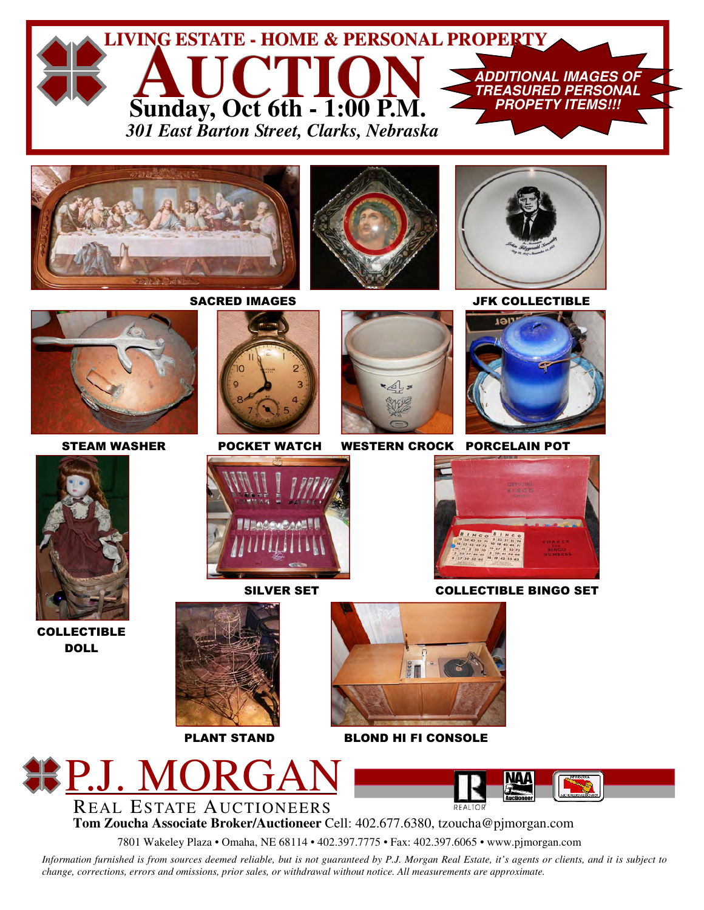

PLANT STAND BLOND HI FI CONSOLE



**Tom Zoucha Associate Broker/Auctioneer** Cell: 402.677.6380, tzoucha@pjmorgan.com REAL ESTATE AUCTIONEERS

7801 Wakeley Plaza • Omaha, NE 68114 • 402.397.7775 • Fax: 402.397.6065 • www.pjmorgan.com

*Information furnished is from sources deemed reliable, but is not guaranteed by P.J. Morgan Real Estate, it's agents or clients, and it is subject to change, corrections, errors and omissions, prior sales, or withdrawal without notice. All measurements are approximate.*